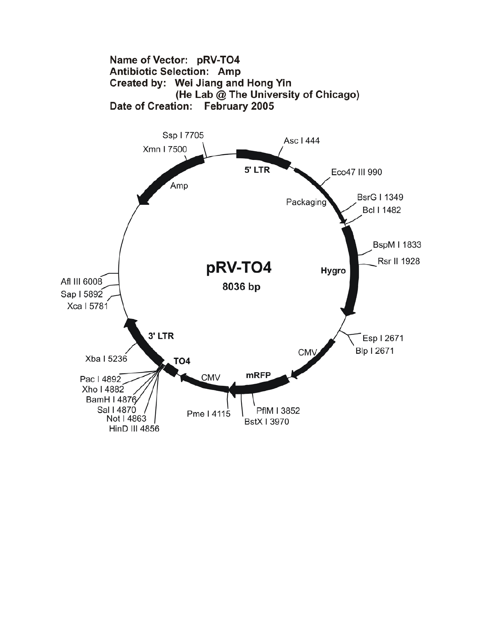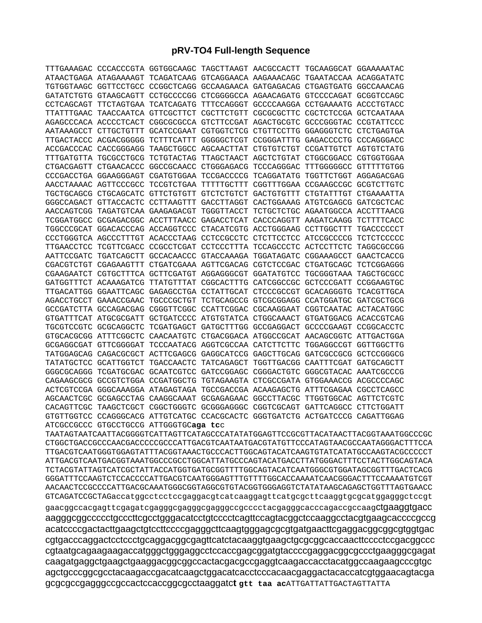## **pRV-TO4 Full-length Sequence**

| TTTGAAAGAC CCCACCCGTA GGTGGCAAGC TAGCTTAAGT AACGCCACTT TGCAAGGCAT GGAAAAATAC |  |  |                                                                                                                                                                                                                                  |
|------------------------------------------------------------------------------|--|--|----------------------------------------------------------------------------------------------------------------------------------------------------------------------------------------------------------------------------------|
| ATAACTGAGA ATAGAAAAGT TCAGATCAAG GTCAGGAACA AAGAAACAGC TGAATACCAA ACAGGATATC |  |  |                                                                                                                                                                                                                                  |
| TGTGGTAAGC GGTTCCTGCC CCGGCTCAGG GCCAAGAACA GATGAGACAG CTGAGTGATG GGCCAAACAG |  |  |                                                                                                                                                                                                                                  |
| GATATCTGTG GTAAGCAGTT CCTGCCCCGG CTCGGGGCCA AGAACAGATG GTCCCCAGAT GCGGTCCAGC |  |  |                                                                                                                                                                                                                                  |
| CCTCAGCAGT TTCTAGTGAA TCATCAGATG TTTCCAGGGT GCCCCAAGGA CCTGAAAATG ACCCTGTACC |  |  |                                                                                                                                                                                                                                  |
| TTATTTGAAC TAACCAATCA GTTCGCTTCT CGCTTCTGTT CGCGCGCTTC CGCTCTCCGA GCTCAATAAA |  |  |                                                                                                                                                                                                                                  |
| AGAGCCCACA ACCCCTCACT CGGCGCGCCA GTCTTCCGAT AGACTGCGTC GCCCGGGTAC CCGTATTCCC |  |  |                                                                                                                                                                                                                                  |
| AATAAAGCCT CTTGCTGTTT GCATCCGAAT CGTGGTCTCG CTGTTCCTTG GGAGGGTCTC CTCTGAGTGA |  |  |                                                                                                                                                                                                                                  |
| TTGACTACCC ACGACGGGGG TCTTTCATTT GGGGGCTCGT CCGGGATTTG GAGACCCCTG CCCAGGGACC |  |  |                                                                                                                                                                                                                                  |
| ACCGACCCAC CACCGGGAGG TAAGCTGGCC AGCAACTTAT CTGTGTCTGT CCGATTGTCT AGTGTCTATG |  |  |                                                                                                                                                                                                                                  |
| TTTGATGTTA TGCGCCTGCG TCTGTACTAG TTAGCTAACT AGCTCTGTAT CTGGCGGACC CGTGGTGGAA |  |  |                                                                                                                                                                                                                                  |
| CTGACGAGTT CTGAACACCC GGCCGCAACC CTGGGAGACG TCCCAGGGAC TTTGGGGGCC GTTTTTGTGG |  |  |                                                                                                                                                                                                                                  |
| CCCGACCTGA GGAAGGGAGT CGATGTGGAA TCCGACCCCG TCAGGATATG TGGTTCTGGT AGGAGACGAG |  |  |                                                                                                                                                                                                                                  |
| AACCTAAAAC AGTTCCCGCC TCCGTCTGAA TTTTTGCTTT CGGTTTGGAA CCGAAGCCGC GCGTCTTGTC |  |  |                                                                                                                                                                                                                                  |
| TGCTGCAGCG CTGCAGCATC GTTCTGTGTT GTCTCTGTCT GACTGTGTTT CTGTATTTGT CTGAAAATTA |  |  |                                                                                                                                                                                                                                  |
| GGGCCAGACT GTTACCACTC CCTTAAGTTT GACCTTAGGT CACTGGAAAG ATGTCGAGCG GATCGCTCAC |  |  |                                                                                                                                                                                                                                  |
|                                                                              |  |  |                                                                                                                                                                                                                                  |
| TCGGATGGCC GCGAGACGGC ACCTTTAACC GAGACCTCAT CACCCAGGTT AAGATCAAGG TCTTTTCACC |  |  |                                                                                                                                                                                                                                  |
| TGGCCCGCAT GGACACCCAG ACCAGGTCCC CTACATCGTG ACCTGGGAAG CCTTGGCTTT TGACCCCCCT |  |  |                                                                                                                                                                                                                                  |
| CCCTGGGTCA AGCCCTTTGT ACACCCTAAG CCTCCGCCTC CTCTTCCTCC ATCCGCCCCG TCTCTCCCCC |  |  |                                                                                                                                                                                                                                  |
| TTGAACCTCC TCGTTCGACC CCGCCTCGAT CCTCCCTTTA TCCAGCCCTC ACTCCTTCTC TAGGCGCCGG |  |  |                                                                                                                                                                                                                                  |
| AATTCCGATC TGATCAGCTT GCCACAACCC GTACCAAAGA TGGATAGATC CGGAAAGCCT GAACTCACCG |  |  |                                                                                                                                                                                                                                  |
| CGACGTCTGT CGAGAAGTTT CTGATCGAAA AGTTCGACAG CGTCTCCGAC CTGATGCAGC TCTCGGAGGG |  |  |                                                                                                                                                                                                                                  |
| CGAAGAATCT CGTGCTTTCA GCTTCGATGT AGGAGGGCGT GGATATGTCC TGCGGGTAAA TAGCTGCGCC |  |  |                                                                                                                                                                                                                                  |
| GATGGTTTCT ACAAAGATCG TTATGTTTAT CGGCACTTTG CATCGGCCGC GCTCCCGATT CCGGAAGTGC |  |  |                                                                                                                                                                                                                                  |
| TTGACATTGG GGAATTCAGC GAGAGCCTGA CCTATTGCAT CTCCCGCCGT GCACAGGGTG TCACGTTGCA |  |  |                                                                                                                                                                                                                                  |
| AGACCTGCCT GAAACCGAAC TGCCCGCTGT TCTGCAGCCG GTCGCGGAGG CCATGGATGC GATCGCTGCG |  |  |                                                                                                                                                                                                                                  |
| GCCGATCTTA GCCAGACGAG CGGGTTCGGC CCATTCGGAC CGCAAGGAAT CGGTCAATAC ACTACATGGC |  |  |                                                                                                                                                                                                                                  |
| GTGATTTCAT ATGCGCGATT GCTGATCCCC ATGTGTATCA CTGGCAAACT GTGATGGACG ACACCGTCAG |  |  |                                                                                                                                                                                                                                  |
| TGCGTCCGTC GCGCAGGCTC TCGATGAGCT GATGCTTTGG GCCGAGGACT GCCCCGAAGT CCGGCACCTC |  |  |                                                                                                                                                                                                                                  |
| GTGCACGCGG ATTTCGGCTC CAACAATGTC CTGACGGACA ATGGCCGCAT AACAGCGGTC ATTGACTGGA |  |  |                                                                                                                                                                                                                                  |
| GCGAGGCGAT GTTCGGGGAT TCCCAATACG AGGTCGCCAA CATCTTCTTC TGGAGGCCGT GGTTGGCTTG |  |  |                                                                                                                                                                                                                                  |
| TATGGAGCAG CAGACGCGCT ACTTCGAGCG GAGGCATCCG GAGCTTGCAG GATCGCCGCG GCTCCGGGCG |  |  |                                                                                                                                                                                                                                  |
| TATATGCTCC GCATTGGTCT TGACCAACTC TATCAGAGCT TGGTTGACGG CAATTTCGAT GATGCAGCTT |  |  |                                                                                                                                                                                                                                  |
| GGGCGCAGGG TCGATGCGAC GCAATCGTCC GATCCGGAGC CGGGACTGTC GGGCGTACAC AAATCGCCCG |  |  |                                                                                                                                                                                                                                  |
| CAGAAGCGCG GCCGTCTGGA CCGATGGCTG TGTAGAAGTA CTCGCCGATA GTGGAAACCG ACGCCCCAGC |  |  |                                                                                                                                                                                                                                  |
| ACTCGTCCGA GGGCAAAGGA ATAGAGTAGA TGCCGACCGA ACAAGAGCTG ATTTCGAGAA CGCCTCAGCC |  |  |                                                                                                                                                                                                                                  |
| AGCAACTCGC GCGAGCCTAG CAAGGCAAAT GCGAGAGAAC GGCCTTACGC TTGGTGGCAC AGTTCTCGTC |  |  |                                                                                                                                                                                                                                  |
| CACAGTTCGC TAAGCTCGCT CGGCTGGGTC GCGGGAGGGC CGGTCGCAGT GATTCAGGCC CTTCTGGATT |  |  |                                                                                                                                                                                                                                  |
| GTGTTGGTCC CCAGGGCACG ATTGTCATGC CCACGCACTC GGGTGATCTG ACTGATCCCG CAGATTGGAG |  |  |                                                                                                                                                                                                                                  |
| ATCGCCGCCC GTGCCTGCCG ATTGGGTGCaga tcc                                       |  |  |                                                                                                                                                                                                                                  |
|                                                                              |  |  | ר איין א גערייראיין א גרייראיין א גרייראיין א גרייראיין א גרייראיין א די גרייראיין א די גרייראין א גרייראין א גרייר<br>האיין א גרייראין א גרייראין א גרייראין א גרייראין א גרייראיין א גרייראיין א גרייראין א גרייראין א גרייראי |

TAATAGTAATCAATTACGGGGTCATTAGTTCATAGCCCATATATGGAGTTCCGCGTTACATAACTTACGGTAAATGGCCCGC CTGGCTGACCGCCCAACGACCCCCGCCCATTGACGTCAATAATGACGTATGTTCCCATAGTAACGCCAATAGGGACTTTCCA TTGACGTCAATGGGTGGAGTATTTACGGTAAACTGCCCACTTGGCAGTACATCAAGTGTATCATATGCCAAGTACGCCCCCT ATTGACGTCAATGACGGTAAATGGCCCGCCTGGCATTATGCCCAGTACATGACCTTATGGGACTTTCCTACTTGGCAGTACA TCTACGTATTAGTCATCGCTATTACCATGGTGATGCGGTTTTGGCAGTACATCAATGGGCGTGGATAGCGGTTTGACTCACG GGGATTTCCAAGTCTCCACCCCATTGACGTCAATGGGAGTTTGTTTTGGCACCAAAATCAACGGGACTTTCCAAAATGTCGT AACAACTCCGCCCCATTGACGCAAATGGGCGGTAGGCGTGTACGGTGGGAGGTCTATATAAGCAGAGCTGGTTTAGTGAACC GTCAGATCCGCTAGaccatggcctcctccgaggacgtcatcaaggagttcatgcgcttcaaggtgcgcatggagggctccgt gaacggccacgagttcgagatcgagggcgagggcgagggccgcccctacgagggcacccagaccgccaagctgaaggtgacc aagggcggccccctgcccttcgcctgggacatcctgtcccctcagttccagtacggctccaaggcctacgtgaagcaccccgccg acatccccgactacttgaagctgtccttccccgagggcttcaagtgggagcgcgtgatgaacttcgaggacggcggcgtggtgac cgtgacccaggactcctccctgcaggacggcgagttcatctacaaggtgaagctgcgcggcaccaacttcccctccgacggccc cgtaatgcagaagaagaccatgggctgggaggcctccaccgagcggatgtaccccgaggacggcgccctgaagggcgagat caagatgaggctgaagctgaaggacggcggccactacgacgccgaggtcaagaccacctacatggccaagaagcccgtgc agctgcccggcgcctacaagaccgacatcaagctggacatcacctcccacaacgaggactacaccatcgtggaacagtacga gcgcgccgagggccgccactccaccggcgcctaaggatc**t gtt taa ac**ATTGATTATTGACTAGTTATTA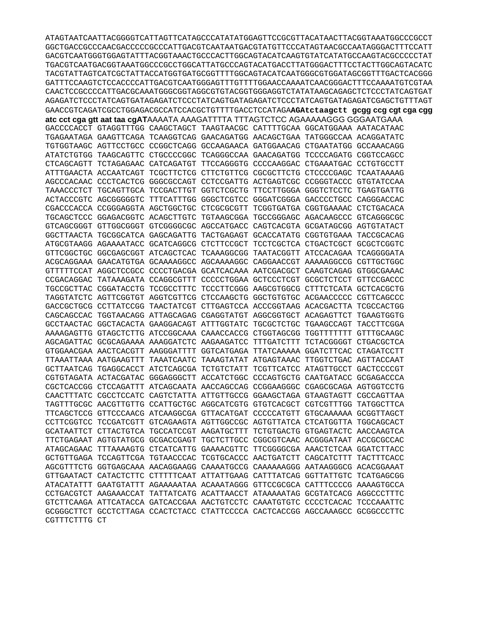ATAGTAATCAATTACGGGGTCATTAGTTCATAGCCCATATATGGAGTTCCGCGTTACATAACTTACGGTAAATGGCCCGCCT GGCTGACCGCCCAACGACCCCCGCCCATTGACGTCAATAATGACGTATGTTCCCATAGTAACGCCAATAGGGACTTTCCATT GACGTCAATGGGTGGAGTATTTACGGTAAACTGCCCACTTGGCAGTACATCAAGTGTATCATATGCCAAGTACGCCCCCTAT TGACGTCAATGACGGTAAATGGCCCGCCTGGCATTATGCCCAGTACATGACCTTATGGGACTTTCCTACTTGGCAGTACATC TACGTATTAGTCATCGCTATTACCATGGTGATGCGGTTTTGGCAGTACATCAATGGGCGTGGATAGCGGTTTGACTCACGGG CAACTCCGCCCCATTGACGCAAATGGGCGGTAGGCGTGTACGGTGGAGGTCTATATAAGCAGAGCTCTCCCTATCAGTGAT AGAGATCTCCCTATCAGTGATAGAGATCTCCCTATCAGTGATAGAGATCTCCCTATCAGTGATAGAGATCGAGCTGTTTAGT GAACCGTCAGATCGCCTGGAGACGCCATCCACGCTGTTTTGACCTCCATAGAAGAtctaagctt gcgg ccg cgt cga cgg

atc cct cqa qtt aat taa cqATAAAATA AAAGATTTTA TTTAGTCTCC AGAAAAAGGG GGGAATGAAA GACCCCACCT GTAGGTTTGG CAAGCTAGCT TAAGTAACGC CATTTTGCAA GGCATGGAAA AATACATAAC TGAGAATAGA GAAGTTCAGA TCAAGGTCAG GAACAGATGG AACAGCTGAA TATGGGCCAA ACAGGATATC TGTGGTAAGC AGTTCCTGCC CCGGCTCAGG GCCAAGAACA GATGGAACAG CTGAATATGG GCCAAACAGG ATATCTGTGG TAAGCAGTTC CTGCCCCGGC TCAGGGCCAA GAACAGATGG TCCCCAGATG CGGTCCAGCC CTCAGCAGTT TCTAGAGAAC CATCAGATGT TTCCAGGGTG CCCCAAGGAC CTGAAATGAC CCTGTGCCTT ATTTGAACTA ACCAATCAGT TCGCTTCTCG CTTCTGTTCG CGCGCTTCTG CTCCCCGAGC TCAATAAAAG AGCCCACAAC CCCTCACTCG GGGCGCCAGT CCTCCGATTG ACTGAGTCGC CCGGGTACCC GTGTATCCAA TAAACCCTCT TGCAGTTGCA TCCGACTTGT GGTCTCGCTG TTCCTTGGGA GGGTCTCCTC TGAGTGATTG ACTACCCGTC AGCGGGGGTC TTTCATTTGG GGGCTCGTCC GGGATCGGGA GACCCCTGCC CAGGGACCAC CGACCCACCA CCGGGAGGTA AGCTGGCTGC CTCGCGCGTT TCGGTGATGA CGGTGAAAAC CTCTGACACA TGCAGCTCCC GGAGACGGTC ACAGCTTGTC TGTAAGCGGA TGCCGGGAGC AGACAAGCCC GTCAGGGCGC GTCAGCGGGT GTTGGCGGGT GTCGGGGCGC AGCCATGACC CAGTCACGTA GCGATAGCGG AGTGTATACT GGCTTAACTA TGCGGCATCA GAGCAGATTG TACTGAGAGT GCACCATATG CGGTGTGAAA TACCGCACAG ATGCGTAAGG AGAAAATACC GCATCAGGCG CTCTTCCGCT TCCTCGCTCA CTGACTCGCT GCGCTCGGTC GTTCGGCTGC GGCGAGCGGT ATCAGCTCAC TCAAAGGCGG TAATACGGTT ATCCACAGAA TCAGGGGATA ACGCAGGAAA GAACATGTGA GCAAAAGGCC AGCAAAAGGC CAGGAACCGT AAAAAGGCCG CGTTGCTGGC GTTTTTCCAT AGGCTCCGCC CCCCTGACGA GCATCACAAA AATCGACGCT CAAGTCAGAG GTGGCGAAAC CCGACAGGAC TATAAAGATA CCAGGCGTTT CCCCCTGGAA GCTCCCTCGT GCGCTCTCCT GTTCCGACCC TGCCGCTTAC CGGATACCTG TCCGCCTTTC TCCCTTCGGG AAGCGTGGCG CTTTCTCATA GCTCACGCTG TAGGTATCTC AGTTCGGTGT AGGTCGTTCG CTCCAAGCTG GGCTGTGTGC ACGAACCCCC CGTTCAGCCC GACCGCTGCG CCTTATCCGG TAACTATCGT CTTGAGTCCA ACCCGGTAAG ACACGACTTA TCGCCACTGG CAGCAGCCAC TGGTAACAGG ATTAGCAGAG CGAGGTATGT AGGCGGTGCT ACAGAGTTCT TGAAGTGGTG GCCTAACTAC GGCTACACTA GAAGGACAGT ATTTGGTATC TGCGCTCTGC TGAAGCCAGT TACCTTCGGA AAAAGAGTTG GTAGCTCTTG ATCCGGCAAA CAAACCACCG CTGGTAGCGG TGGTTTTTTT GTTTGCAAGC AGCAGATTAC GCGCAGAAAA AAAGGATCTC AAGAAGATCC TTTGATCTTT TCTACGGGGT CTGACGCTCA GTGGAACGAA AACTCACGTT AAGGGATTTT GGTCATGAGA TTATCAAAAA GGATCTTCAC CTAGATCCTT TTAAATTAAA AATGAAGTTT TAAATCAATC TAAAGTATAT ATGAGTAAAC TTGGTCTGAC AGTTACCAAT GCTTAATCAG TGAGGCACCT ATCTCAGCGA TCTGTCTATT TCGTTCATCC ATAGTTGCCT GACTCCCCGT CGTGTAGATA ACTACGATAC GGGAGGGCTT ACCATCTGGC CCCAGTGCTG CAATGATACC GCGAGACCCA CGCTCACCGG CTCCAGATTT ATCAGCAATA AACCAGCCAG CCGGAAGGGC CGAGCGCAGA AGTGGTCCTG CAACTTTATC CGCCTCCATC CAGTCTATTA ATTGTTGCCG GGAAGCTAGA GTAAGTAGTT CGCCAGTTAA TAGTTTGCGC AACGTTGTTG CCATTGCTGC AGGCATCGTG GTGTCACGCT CGTCGTTTGG TATGGCTTCA TTCAGCTCCG GTTCCCAACG ATCAAGGCGA GTTACATGAT CCCCCATGTT GTGCAAAAAA GCGGTTAGCT CCTTCGGTCC TCCGATCGTT GTCAGAAGTA AGTTGGCCGC AGTGTTATCA CTCATGGTTA TGGCAGCACT GCATAATTCT CTTACTGTCA TGCCATCCGT AAGATGCTTT TCTGTGACTG GTGAGTACTC AACCAAGTCA TTCTGAGAAT AGTGTATGCG GCGACCGAGT TGCTCTTGCC CGGCGTCAAC ACGGGATAAT ACCGCGCCAC ATAGCAGAAC TTTAAAAGTG CTCATCATTG GAAAACGTTC TTCGGGGCGA AAACTCTCAA GGATCTTACC GCTGTTGAGA TCCAGTTCGA TGTAACCCAC TCGTGCACCC AACTGATCTT CAGCATCTTT TACTTTCACC AGCGTTTCTG GGTGAGCAAA AACAGGAAGG CAAAATGCCG CAAAAAAGGG AATAAGGGCG ACACGGAAAT GTTGAATACT CATACTCTTC CTTTTTCAAT ATTATTGAAG CATTTATCAG GGTTATTGTC TCATGAGCGG ATACATATTT GAATGTATTT AGAAAAATAA ACAAATAGGG GTTCCGCGCA CATTTCCCCG AAAAGTGCCA CCTGACGTCT AAGAAACCAT TATTATCATG ACATTAACCT ATAAAAATAG GCGTATCACG AGGCCCTTTC GTCTTCAAGA ATTCATACCA GATCACCGAA AACTGTCCTC CAAATGTGTC CCCCTCACAC TCCCAAATTC GCGGGCTTCT GCCTCTTAGA CCACTCTACC CTATTCCCCA CACTCACCGG AGCCAAAGCC GCGGCCCTTC CGTTTCTTTG CT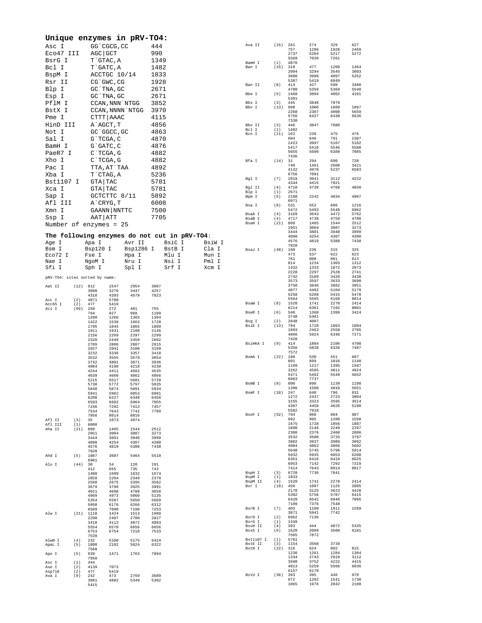| Unique enzymes in pRV-TO4:     |            |                             |                           |                      |                      |                                              |                 |                      |                   |                      |                      |                      |                      |
|--------------------------------|------------|-----------------------------|---------------------------|----------------------|----------------------|----------------------------------------------|-----------------|----------------------|-------------------|----------------------|----------------------|----------------------|----------------------|
| Asc I                          |            |                             | GG `CGCG, CC              |                      | 444                  |                                              |                 | Ava II               | (15)              | 261<br>757           | 274<br>1286          | 329<br>1928          | 627<br>2469          |
| Eco47 III<br>BsrG I            |            | AGC GCT                     | T`GTAC, A                 |                      | 990<br>1349          |                                              |                 |                      |                   | 2737<br>5569         | 5204<br>7039         | 5217<br>7261         | 5272                 |
| Bcl I                          |            |                             | T GATC, A                 |                      | 1482                 |                                              |                 | BamH I<br>Ban I      | (1)<br>(15)       | 4876<br>319          | 477                  | 1209                 | 1464                 |
| BspM I                         |            |                             | ACCTGC 10/14              |                      | 1833                 |                                              |                 |                      |                   | 2094<br>3890         | 3294<br>3998         | 3545<br>4097         | 3803<br>5262         |
| Rsr II                         |            |                             | CG`GWC, CG                |                      | 1928                 |                                              |                 | Ban II               | (8)               | 5387<br>414          | 5419<br>427          | 6849<br>598          | 3488                 |
| Blp I<br>Esp I                 |            |                             | GC TNA, GC<br>GC `TNA, GC |                      | 2671<br>2671         |                                              |                 | Bbe I                | (5)               | 4700<br>1468         | 5356<br>3894         | 5369<br>4002         | 5540<br>4101         |
| PflM I                         |            |                             |                           | CCAN, NNN `NTGG      | 3852                 |                                              |                 | Bbs I                | (3)               | 5391<br>445          | 3848                 | 7879                 |                      |
| BstX I                         |            |                             |                           | CCAN, NNNN `NTGG     | 3970                 |                                              |                 | Bbv I                | (13)              | 998<br>2260          | 1006<br>2387         | 1609<br>4000         | 1867<br>5659         |
| Pme I                          |            |                             | CTTT AAAC                 |                      | 4115                 |                                              |                 | Bby TT               |                   | 5756<br>7330         | 6427                 | 6430                 | 6636                 |
| HinD III<br>Not I              |            | A AGCT, T                   | GC `GGCC, GC              |                      | 4856<br>4863         |                                              |                 | Bcl I                | (3)<br>(1)        | 446<br>1482          | 3847                 | 7880                 |                      |
| Sal I                          |            | $G$ TCGA, C                 |                           |                      | 4870                 |                                              |                 | Bcn I                | $(21)$ 163        | 604                  | 239<br>646           | 475<br>791           | 476<br>2307          |
| BamH I                         |            |                             | $G$ $GATC$ , $C$          |                      | 4876                 |                                              |                 |                      |                   | 2423<br>5417         | 3997<br>5418         | 5107<br>5546         | 5182<br>5588         |
| PaeR7 I<br>Xho I               |            |                             | C`TCGA, G<br>$C$ TCGA, G  |                      | 4882<br>4882         |                                              |                 | Bfa I                | (14) 31           | 5655<br>7436         | 5690<br>294          | 6389<br>690          | 7085<br>728          |
| Pac I                          |            |                             | TTA, AT`TAA               |                      | 4892                 |                                              |                 |                      |                   | 740<br>4132          | 1461<br>4970         | 2608<br>5237         | 3421<br>6503         |
| Xba I                          |            |                             | T CTAG, A                 |                      | 5236                 |                                              |                 | Bgl I                | (7)               | 6756<br>2919         | 7091<br>3041         | 3112                 | 4222                 |
| Bst1107 I                      |            | GTA TAC                     |                           |                      | 5781                 |                                              |                 | Bgl II               | (4)               | 4344<br>4718         | 4415<br>4739         | 7021<br>4760         | 4850                 |
| Xca I<br>Sap I                 |            | GTA TAC                     | GCTCTTC 8/11              |                      | 5781<br>5892         |                                              |                 | Blp I<br>Bpm I       | (1)<br>(5)        | 2671<br>2188         | 2242                 | 4834                 | 4907                 |
| Afl III                        |            | A CRYG, T                   |                           |                      | 6008                 |                                              |                 | Bsa I                | (8)               | 6971<br>531          | 552                  | 606                  | 1216                 |
| Xmn I                          |            |                             | GAANN   NNTTC             |                      | 7500                 |                                              |                 | BsaA I               | (4)               | 5472<br>3169         | 5493<br>3643         | 5548<br>4472         | 6962<br>5762         |
| Ssp I                          |            | AAT   ATT                   |                           |                      | 7705                 |                                              |                 | BsaB I<br>BsaH I     | (4)<br>(21)       | 4717<br>809          | 4738<br>1465         | 4759<br>1544         | 4780<br>2512         |
| Number of enzymes = 25         |            |                             |                           |                      |                      |                                              |                 |                      |                   | 2951<br>3444         | 3004<br>3891         | 3087<br>3948         | 3273<br>3999         |
|                                |            |                             |                           |                      |                      | The following enzymes do not cut in pRV-TO4: |                 |                      |                   | 4098<br>4576         | 4254<br>4819         | 4307<br>5388         | 4390<br>7438         |
| Age I<br>Bsm I                 |            | Apa I<br>Bsp120 I           |                           | Avr II<br>Bsp1286 I  |                      | BsiC I<br>BstB I                             | BsiW I<br>Cla I | BsaJ I               | (48)              | 7820<br>160          | 236                  | 315                  | 325                  |
| Eco72 I                        |            | Fse I                       |                           | Hpa I                |                      | Mlu I                                        | Mun I           |                      |                   | 473<br>761           | 537<br>800           | 622<br>801           | 623<br>813           |
| Nae I<br>Sfi I                 |            | NgoM I<br>Sph I             |                           | Nru I<br>Spl I       |                      | Nsi I<br>Srf I                               | Pml I<br>Xcm I  |                      |                   | 814<br>1332          | 1234<br>1333         | 1303<br>1872         | 1312<br>2073         |
| pRV-T04: sites sorted by name: |            |                             |                           |                      |                      |                                              |                 |                      |                   | 2228<br>2742         | 2297<br>3189         | 2528<br>3426         | 2741<br>3438         |
| Aat II                         |            | (12) 812                    | 1547                      | 2954                 | 3007                 |                                              |                 |                      |                   | 3573<br>3750         | 3597<br>3846         | 3633<br>3882         | 3690<br>3951         |
|                                |            | 3090<br>4310                | 3276<br>4393              | 3447<br>4579         | 4257<br>7823         |                                              |                 |                      |                   | 4077<br>5258         | 4492<br>5268         | 5104<br>5415         | 5179<br>5478         |
| Acc I<br>Acc65 I               | (2)<br>(2) | 4871<br>477                 | 5780<br>5419              |                      |                      |                                              |                 | BsaW I               | (8)               | 5564<br>1520         | 5565<br>1741         | 6168<br>2278         | 8014<br>2414         |
| Aci I                          | (99)       | 150<br>794                  | 272<br>927                | 401<br>968           | 755<br>1109          |                                              |                 | BseR I               | (6)               | 6214<br>540          | 6361<br>1360         | 7192<br>1399         | 8001<br>3424         |
|                                |            | 1200<br>1422                | 1266<br>1539              | 1365<br>1663         | 1384<br>1728         |                                              |                 | Bsg I                | (2)               | 3748<br>2848         | 5481<br>4007         |                      |                      |
|                                |            | 1795<br>1911                | 1845<br>1931              | 1865<br>2108         | 1889<br>2146         |                                              |                 | BsiE I               | (13)              | 794<br>1893          | 1728<br>2463         | 1863<br>2558         | 1884<br>2705         |
|                                |            | 2156<br>2320                | 2269<br>2449              | 2297<br>2459         | 2299<br>2692         |                                              |                 |                      |                   | 4866<br>7420         | 5924                 | 6348                 | 7271                 |
|                                |            | 2789<br>2927                | 2806<br>2941              | 2887<br>3108         | 2915<br>3199         |                                              |                 | BsiHKA I             | (9)               | 414<br>5356          | 1804<br>5828         | 2106<br>6326         | 4700<br>7487         |
|                                |            | 3232<br>3532                | 3336<br>3555              | 3357<br>3579         | 3418<br>3654         |                                              |                 | BsmA I               | (22)              | 7572<br>180<br>801   | 530<br>899           | 551<br>1016          | 607<br>1140          |
|                                |            | 3732<br>4084                | 3801<br>4190              | 3871<br>4218         | 3936<br>4230         |                                              |                 |                      |                   | 1199<br>3262         | 1217<br>4565         | 1395<br>4811         | 1587<br>4924         |
|                                |            | 4244<br>4639                | 4411<br>4660              | 4502<br>4862         | 4535<br>4866         |                                              |                 |                      |                   | 5471<br>6963         | 5492<br>7737         | 5549                 | 5652                 |
|                                |            | 5215<br>5730                | 5517<br>5772              | 5681<br>5797         | 5720<br>5835         |                                              |                 | BsmB I               | (8)               | 800<br>1396          | 898<br>1588          | 1139<br>4810         | 1198<br>5651         |
|                                |            | 5848<br>5941<br>6208        | 5874<br>5962<br>6227      | 5891<br>6053<br>6348 | 5934<br>6081<br>6458 |                                              |                 | BsmF I               | (18) 247          | 1272                 | 640<br>2437          | 796<br>2723          | 831<br>3004          |
|                                |            | 6593<br>7246                | 6602<br>7292              | 6964<br>7413         | 7055<br>7457         |                                              |                 |                      |                   | 3155<br>4307         | 3323<br>4458         | 3595<br>4626         | 3614<br>5190         |
|                                |            | 7534<br>7956                | 7643<br>8014              | 7742<br>8016         | 7789                 |                                              |                 | BsoF I               | (52)              | 5582<br>794          | 7918<br>968          | 984                  | 987                  |
| Afl II<br>Afl III              | (3)<br>(1) | 35<br>6008                  | 1073                      | 4974                 |                      |                                              |                 |                      |                   | 992<br>1675          | 995<br>1728          | 1200<br>1856         | 1598<br>1887         |
| Aha II                         | (21)       | 809<br>2951                 | 1465<br>3004              | 1544<br>3087         | 2512<br>3273         |                                              |                 |                      |                   | 1890<br>2300         | 2146<br>2376         | 2249<br>2460         | 2297<br>2806         |
|                                |            | 3444<br>4098                | 3891<br>4254              | 3948<br>4307         | 3999<br>4390         |                                              |                 |                      |                   | 3532<br>3802         | 3580<br>3937         | 3733<br>3989         | 3797<br>3992         |
|                                |            | 4576<br>7820                | 4819                      | 5388                 | 7438                 |                                              |                 |                      |                   | 4084<br>5648         | 4863<br>5745         | 4866<br>5798         | 5602<br>5914         |
| Ahd I                          | (5)        | 1087<br>6901                | 3607                      | 5464                 | 5510                 |                                              |                 |                      |                   | 5932<br>6351         | 5935<br>6416         | 6053<br>6419         | 6208<br>6625         |
| Alu I                          | (44)       | 30<br>412                   | 34<br>655                 | 120<br>735           | 191<br>743           |                                              |                 |                      |                   | 6953<br>7414         | 7142<br>7643         | 7292<br>8014         | 7319<br>8017         |
|                                |            | 1488<br>2059                | 1600<br>2284              | 1632<br>2349         | 1674<br>2378         |                                              |                 | BspH I<br>BspM I     | (3)<br>(1)<br>(4) | 6728<br>1833<br>1520 | 7736<br>1741         | 7841<br>2278         | 2414                 |
|                                |            | 2568<br>3679                | 2675<br>3796              | 3395<br>3925         | 3562<br>3991         |                                              |                 | BspM II<br>Bsr I     | $(19)$ 450        |                      | 1097                 | 1125                 | 2005                 |
|                                |            | 4021<br>4969                | 4698<br>4973              | 4788<br>5060         | 4858<br>5135         |                                              |                 |                      |                   | 2170<br>5392<br>6428 | 3125<br>5756<br>6542 | 3623<br>5787<br>6948 | 4428<br>6415<br>7066 |
|                                |            | 5354<br>5950                | 5597<br>6176              | 5650<br>6266         | 5669<br>6312         |                                              |                 |                      |                   | 7109                 | 7376                 | 7548                 |                      |
| Alw I                          |            | 6569<br>$(21)$ 1118<br>2298 | 7090<br>1424<br>2407      | 7190<br>1513<br>2780 | 7253<br>1980<br>2827 |                                              |                 | BsrB I<br>BsrD I     | (7)<br>(2)        | 403<br>3871<br>6962  | 1109<br>5941<br>7136 | 1911<br>7742         | 2269                 |
|                                |            | 3410                        | 4113                      | 4872                 | 4883                 |                                              |                 | BsrG I<br>BssH II    | (1)<br>(4)        | 1349<br>393          | 444                  | 4072                 | 5335                 |
|                                |            | 5554<br>6753<br>7539        | 6570<br>6754              | 6656<br>7218         | 6656<br>7533         |                                              |                 | BssS I               | (6)               | 1620<br>7565         | 2099<br>7872         | 3500                 | 6181                 |
| AlwN I                         | (4)        | 232                         | 5100                      | 5175                 | 6424                 |                                              |                 | Bst1107 I<br>BstE II | (1)<br>(3)        | 5781<br>1154         | 3568                 | 3739                 |                      |
| ApaL I                         | (5)<br>(5) | 1800<br>7568<br>939         | 2102<br>1471              | 5824<br>1763         | 6322<br>7894         |                                              |                 | BstN I               | (22)              | 316<br>1236          | 624<br>1261          | 802<br>1284          | 815<br>1304          |
| Apo I<br>Asc I                 | (1)        | 7950<br>444                 |                           |                      |                      |                                              |                 |                      |                   | 1334<br>3598         | 2743<br>3752         | 2919<br>4222         | 3112<br>4415         |
| Ase I<br>Asp718                | (2)<br>(2) | 4139<br>477                 | 7073<br>5419              |                      |                      |                                              |                 |                      |                   | 4813<br>6157         | 5259<br>6170         | 5566                 | 6036                 |
| Ava I                          | (9)        | 242<br>3881                 | 473<br>4882               | 2769<br>5349         | 3689<br>5382         |                                              |                 | BstU I               | (36)              | 393<br>972           | 395<br>1202          | 446<br>1541          | 970<br>1730          |
|                                |            | 5415                        |                           |                      |                      |                                              |                 |                      |                   | 1865                 | 1976                 | 2042                 | 2108                 |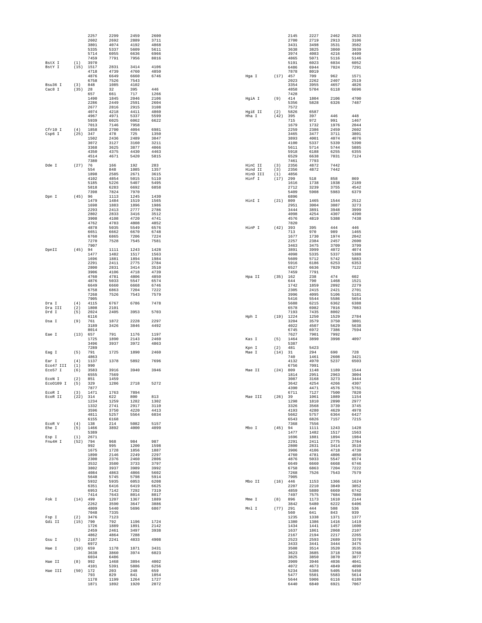|                   |                   | 2257<br>2602        | 2299<br>2692        | 2459<br>2889        | 2600<br>3711         |                     |            | 2145<br>2700         | 2227<br>2719         | 2462<br>2913         | 2633<br>3106         |
|-------------------|-------------------|---------------------|---------------------|---------------------|----------------------|---------------------|------------|----------------------|----------------------|----------------------|----------------------|
|                   |                   | 3801                | 4074                | 4192                | 4868                 |                     |            | 3431                 | 3498                 | 3531                 | 3582                 |
|                   |                   | 5335<br>5714        | 5337<br>6055        | 5609<br>6636        | 5611<br>6966         |                     |            | 3638<br>3974         | 3825<br>4083         | 3860<br>4216         | 3939<br>4409         |
|                   |                   | 7459                | 7791                | 7956                | 8016                 |                     |            | 4865                 | 5071                 | 5116                 | 5146                 |
| BstX I<br>BstY I  | (1)<br>(15)       | 3970<br>1517        | 2831                | 3414                | 4106                 |                     |            | 5191<br>6486         | 6023<br>6944         | 6034<br>7024         | 6052<br>7291         |
|                   |                   | 4718                | 4739                | 4760                | 4850                 |                     |            | 7878                 | 8019                 |                      |                      |
|                   |                   | 4876<br>6758        | 6649<br>7526        | 6660<br>7543        | 6746                 | Hga I               | (17)       | 457<br>2023          | 709<br>2262          | 962<br>2407          | 1571<br>2519         |
| Bsu36 I           | (3)               | 848                 | 1085                | 4102                |                      |                     |            | 3354                 | 3955                 | 4657                 | 4826                 |
| Cac8 I            | (35)              | 28<br>657           | 32<br>661           | 395<br>717          | 446<br>1266          |                     |            | 4858<br>7428         | 5704                 | 6118                 | 6696                 |
|                   |                   | 1490                | 1845                | 2046                | 2106                 | HgiA I              | (9)        | 414                  | 1804                 | 2106                 | 4700                 |
|                   |                   | 2286<br>2677        | 2449<br>2816        | 2591<br>2915        | 2604<br>3108         |                     |            | 5356<br>7572         | 5828                 | 6326                 | 7487                 |
|                   |                   | 4074                | 4218                | 4411                | 4860                 | HqiE II             | (2)        | 5826                 | 6587                 |                      |                      |
|                   |                   | 4967<br>5939        | 4971<br>6025        | 5337<br>6062        | 5599<br>6622         | Hha I               | (42)       | 395<br>715           | 397<br>972           | 446<br>991           | 448<br>1467          |
|                   |                   | 7013                | 7146                | 7958                |                      |                     |            | 1679                 | 1732                 | 1976                 | 2044                 |
| Cfr10 I<br>Csp6 I | (4)<br>(25)       | 1858<br>347         | 2700<br>478         | 4094<br>725         | 6981<br>1350         |                     |            | 2259<br>3465         | 2386<br>3477         | 2459<br>3711         | 2602<br>3801         |
|                   |                   | 1502                | 2436                | 2489                | 3047                 |                     |            | 3893                 | 4001                 | 4074                 | 4076                 |
|                   |                   | 3072<br>3368        | 3127<br>3625        | 3160<br>3877        | 3211<br>4066         |                     |            | 4100<br>5611         | 5337<br>5714         | 5339<br>5744         | 5390<br>5885         |
|                   |                   | 4350                | 4375                | 4430                | 4463                 |                     |            | 5918                 | 6188                 | 6255                 | 6355                 |
|                   |                   | 4514<br>7380        | 4671                | 5420                | 5815                 |                     |            | 6529<br>7461         | 6638<br>7793         | 7031                 | 7124                 |
| Dde I             | (27)              | 76                  | 166                 | 192                 | 283                  | HinC II             | (3)        | 2356                 | 4872                 | 7442                 |                      |
|                   |                   | 554<br>1898         | 848<br>2585         | 1085<br>2671        | 1357<br>3615         | Hind II<br>HinD III | (3)<br>(1) | 2356<br>4856         | 4872                 | 7442                 |                      |
|                   |                   | 4102                | 4854                | 5015                | 5110                 | Hinf I              | (17)       | 299                  | 518                  | 858                  | 869                  |
|                   |                   | 5185<br>5818        | 5226<br>6283        | 5407<br>6692        | 5495<br>6858         |                     |            | 1616<br>2712         | 1738<br>3239         | 1938<br>3755         | 2189<br>4542         |
|                   |                   | 7398                | 7824                | 7970                |                      |                     |            | 5409                 | 5908                 | 5983                 | 6379                 |
| Dpn I             | (45)              | 96<br>1479          | 1113<br>1484        | 1245<br>1519        | 1430<br>1565         | HinI I              | (21)       | 6896<br>809          | 1465                 | 1544                 | 2512                 |
|                   |                   | 1698                | 1883                | 1896                | 1986                 |                     |            | 2951                 | 3004                 | 3087                 | 3273                 |
|                   |                   | 2293<br>2802        | 2413<br>2833        | 2777<br>3416        | 2786<br>3512         |                     |            | 3444<br>4098         | 3891<br>4254         | 3948<br>4307         | 3999<br>4390         |
|                   |                   | 3908                | 4108                | 4720                | 4741                 |                     |            | 4576                 | 4819                 | 5388                 | 7438                 |
|                   |                   | 4762<br>4878        | 4783<br>5035        | 4808<br>5549        | 4852<br>6576         | HinP I              | (42)       | 7820<br>393          | 395                  | 444                  | 446                  |
|                   |                   | 6651                | 6662                | 6670                | 6748                 |                     |            | 713                  | 970                  | 989                  | 1465                 |
|                   |                   | 6760<br>7270        | 6865<br>7528        | 7206<br>7545        | 7224<br>7581         |                     |            | 1677<br>2257         | 1730<br>2384         | 1974<br>2457         | 2042<br>2600         |
|                   |                   | 7907                |                     |                     |                      |                     |            | 3463                 | 3475                 | 3709                 | 3799                 |
| DpnII             | (45)              | 94<br>1477          | 1111<br>1482        | 1243<br>1517        | 1428<br>1563         |                     |            | 3891<br>4098         | 3999<br>5335         | 4072<br>5337         | 4074<br>5388         |
|                   |                   | 1696                | 1881                | 1894                | 1984                 |                     |            | 5609                 | 5712                 | 5742                 | 5883                 |
|                   |                   | 2291<br>2800        | 2411<br>2831        | 2775<br>3414        | 2784<br>3510         |                     |            | 5916<br>6527         | 6186<br>6636         | 6253<br>7029         | 6353<br>7122         |
|                   |                   | 3906                | 4106                | 4718                | 4739                 |                     |            | 7459                 | 7791                 |                      |                      |
|                   |                   | 4760<br>4876        | 4781<br>5033        | 4806<br>5547        | 4850<br>6574         | Hpa II              | (35)       | 162<br>644           | 238<br>790           | 474<br>1468          | 602<br>1521          |
|                   |                   | 6649                | 6660                | 6668                | 6746                 |                     |            | 1742                 | 1859                 | 2092                 | 2279                 |
|                   |                   | 6758<br>7268        | 6863<br>7526        | 7204<br>7543        | 7222<br>7579         |                     |            | 2305<br>3996         | 2415<br>4095         | 2421<br>5106         | 2701<br>5181         |
|                   |                   | 7905                |                     |                     |                      |                     |            | 5416                 | 5544                 | 5586                 | 5654                 |
| Dra I<br>Dra III  | (4)<br>(2)        | 4115                | 6767<br>2101        | 6786                | 7478                 |                     |            | 5688                 | 6215<br>6982         | 6362<br>7016         | 6388<br>7083         |
| Drd I             | (5)               | 1808<br>2024        | 2405                | 3953                | 5703                 |                     |            | 6578<br>7193         | 7435                 | 8002                 |                      |
| Dsa I             | (9)               | 6116<br>761         | 1872                | 2228                | 2297                 | Hph I               | (19)       | 1224<br>3204         | 1250<br>3579         | 1529<br>3750         | 2784<br>3801         |
|                   |                   | 3189                | 3426                | 3846                | 4492                 |                     |            | 4022                 | 4507                 | 5629                 | 5638                 |
| Eae I             | (13)              | 8014<br>657         | 791                 | 1176                | 1197                 |                     |            | 6745<br>7627         | 6972<br>7901         | 7386<br>7992         | 7594                 |
|                   |                   | 1725                | 1890                | 2143                | 2460                 | Kas I               | (5)        | 1464                 | 3890                 | 3998                 | 4097                 |
|                   |                   | 3496<br>7289        | 3937                | 3972                | 4863                 |                     | (2)        | 5387<br>481          | 5423                 |                      |                      |
| Eag I             | (5)               | 791                 | 1725                | 1890                | 2460                 | Kpn I<br>Mae T      | (14)       | 31                   | 294                  | 690                  | 728                  |
| Ear I             | (4)               | 4863<br>1137        | 1378                | 5892                | 7696                 |                     |            | 740<br>4132          | 1461<br>4970         | 2608<br>5237         | 3421<br>6503         |
| Eco47 III         | (1)               | 990                 |                     |                     |                      |                     |            | 6756                 | 7091                 |                      |                      |
| Eco57 I           | (6)               | 3583<br>6555        | 3916<br>7569        | 3940                | 3946                 | Mae TT              | (24)       | 809<br>1814          | 1148<br>2951         | 1189<br>2963         | 1544<br>3004         |
| ECON I            | (2)               | 851                 | 1459                |                     |                      |                     |            | 3087                 | 3168                 | 3273                 | 3444                 |
| Eco0109 I         | (5)               | 329<br>7877         | 1286                | 2718                | 5272                 |                     |            | 3642<br>4390         | 4254<br>4471         | 4266<br>4576         | 4307<br>5761         |
| EcoR I            | (3)               | 1471                | 1763                | 7894                |                      |                     |            | 6711                 | 7127                 | 7500                 | 7820                 |
| ECOR II           | (22)              | 314<br>1234         | 622<br>1259         | 800<br>1282         | 813<br>1302          | Mae III             | $(26)$ 39  | 1298                 | 1061<br>1810         | 1089<br>2890         | 1154<br>2977         |
|                   |                   | 1332                | 2741                | 2917                | 3110                 |                     |            | 3326                 | 3568                 | 3739                 | 3745                 |
|                   |                   | 3596<br>4811        | 3750<br>5257        | 4220<br>5564        | 4413<br>6034         |                     |            | 4193<br>5662         | 4280<br>5757         | 4629<br>6364         | 4978<br>6427         |
|                   |                   | 6155                | 6168                |                     |                      |                     |            | 6543                 | 6826                 | 7157                 | 7215                 |
| ECOR V<br>Ehe I   | (4)<br>(5)        | 138<br>1466         | 214<br>3892         | 5082<br>4000        | 5157<br>4099         | Mbo I               | $(45)$ 94  | 7368                 | 7556<br>1111         | 1243                 | 1428                 |
|                   |                   | 5389                |                     |                     |                      |                     |            | 1477                 | 1482                 | 1517                 | 1563                 |
| Esp I<br>Fnu4H I  | (1)<br>(52)       | 2671<br>794         | 968                 | 984                 | 987                  |                     |            | 1696<br>2291         | 1881<br>2411         | 1894<br>2775         | 1984<br>2784         |
|                   |                   | 992                 | 995                 | 1200                | 1598                 |                     |            | 2800                 | 2831                 | 3414                 | 3510                 |
|                   |                   | 1675<br>1890        | 1728<br>2146        | 1856<br>2249        | 1887<br>2297         |                     |            | 3906<br>4760         | 4106<br>4781         | 4718<br>4806         | 4739<br>4850         |
|                   |                   | 2300                | 2376                | 2460                | 2806                 |                     |            | 4876                 | 5033                 | 5547                 | 6574                 |
|                   |                   | 3532<br>3802        | 3580<br>3937        | 3733<br>3989        | 3797<br>3992         |                     |            | 6649<br>6758         | 6660<br>6863         | 6668<br>7204         | 6746<br>7222         |
|                   |                   | 4084                | 4863                | 4866                | 5602                 |                     |            | 7268                 | 7526                 | 7543                 | 7579                 |
|                   |                   | 5648<br>5932        | 5745<br>5935        | 5798<br>6053        | 5914<br>6208         | Mbo II              |            | 7905<br>$(16)$ 446   | 1153                 | 1366                 | 1624                 |
|                   |                   | 6351                | 6416                | 6419                | 6625                 |                     |            | 2207                 | 2210                 | 3849                 | 3852                 |
|                   |                   | 6953<br>7414        | 7142<br>7643        | 7292<br>8014        | 7319<br>8017         |                     |            | 4859<br>7497         | 5880<br>7575         | 6669<br>7684         | 6742<br>7880         |
| Fok I             | $(14)$ 499        |                     | 1207                | 1367                | 1889                 | Mme I               | (8)        | 896                  | 1173                 | 1610                 | 2144                 |
|                   |                   | 2262<br>4809        | 3590<br>5440        | 3647<br>5696        | 3886<br>6867         | Mnl I               |            | 3842<br>$(77)$ 291   | 5480<br>444          | 6222<br>508          | 6406<br>536          |
|                   |                   | 7048                | 7335                |                     |                      |                     |            | 560                  | 641                  | 843                  | 939                  |
| Fsp I<br>Gdi II   | (2)<br>$(15)$ 790 | 3476                | 7123<br>792         | 1196                | 1724                 |                     |            | 1235<br>1380         | 1338<br>1386         | 1371<br>1416         | 1377<br>1419         |
|                   |                   | 1726                | 1889                | 1891                | 2142                 |                     |            | 1434                 | 1441                 | 1457                 | 1600                 |
|                   |                   | 2459<br>4862        | 2461<br>4864        | 3497<br>7288        | 3938                 |                     |            | 1637<br>2167         | 1861<br>2194         | 2068<br>2217         | 2107<br>2265         |
|                   |                   | 2187                | 2241                | 4833                | 4908                 |                     |            | 2523                 | 2593                 | 2689                 | 3370                 |
| Gsu I             | (5)               |                     |                     |                     |                      |                     |            | 3433                 | 3441                 | 3444                 | 3475                 |
|                   |                   | 6972                |                     |                     |                      |                     |            |                      |                      |                      |                      |
| Hae I             | (10)              | 659<br>3638         | 1178<br>3860        | 1871<br>3974        | 3431<br>6023         |                     |            | 3508<br>3623         | 3514<br>3685         | 3520<br>3718         | 3535<br>3768         |
|                   |                   | 6034                | 6486                |                     |                      |                     |            | 3825                 | 3850                 | 3870                 | 3877                 |
| Hae II            | (8)               | 992<br>4101         | 1468<br>5391        | 3894<br>5886        | 4002<br>6256         |                     |            | 3909<br>4072         | 3946<br>4673         | 4036<br>4849         | 4041<br>4890         |
| Hae III           | $(50)$ 172        |                     | 203                 | 248                 | 659                  |                     |            | 5234                 | 5386                 | 5405                 | 5450                 |
|                   |                   | 793<br>1178<br>1871 | 829<br>1199<br>1892 | 841<br>1264<br>1920 | 1054<br>1727<br>2072 |                     |            | 5477<br>5644<br>6440 | 5501<br>5906<br>6840 | 5583<br>6116<br>6921 | 5614<br>6189<br>7067 |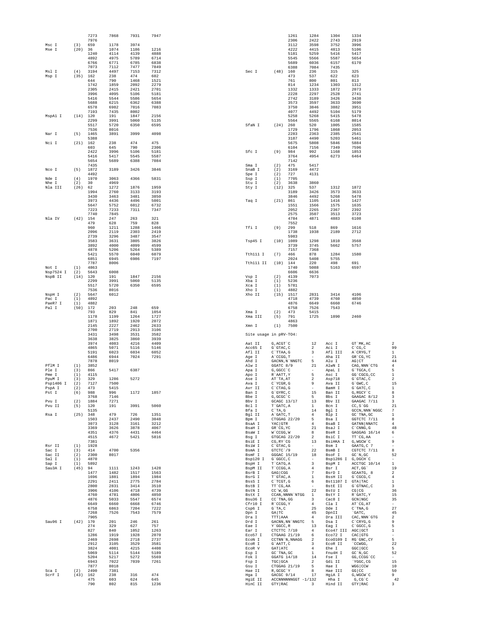|                      |                  | 7273         | 7868         | 7931         | 7947         |                        |                          | 1261                                                                                                                                                | 1284                                                                          | 1304                                                         | 1334                                         |                                                    |
|----------------------|------------------|--------------|--------------|--------------|--------------|------------------------|--------------------------|-----------------------------------------------------------------------------------------------------------------------------------------------------|-------------------------------------------------------------------------------|--------------------------------------------------------------|----------------------------------------------|----------------------------------------------------|
| Msc I                |                  | 7976<br>659  | 1178         | 3974         |              |                        |                          | 2306<br>3112                                                                                                                                        | 2422<br>3598                                                                  | 2743<br>3752                                                 | 2919<br>3996                                 |                                                    |
| Mse I                | (3)<br>(20)      | 36           | 1074         | 1186         | 1216         |                        |                          | 4222                                                                                                                                                | 4415                                                                          | 4813                                                         | 5106                                         |                                                    |
|                      |                  | 1240         | 4114         | 4139         | 4888         |                        |                          | 5181                                                                                                                                                | 5259                                                                          | 5416                                                         | 5417                                         |                                                    |
|                      |                  | 4892<br>6766 | 4975<br>6771 | 5789<br>6785 | 6714<br>6838 |                        |                          | 5545<br>5689                                                                                                                                        | 5566<br>6036                                                                  | 5587<br>6157                                                 | 5654<br>6170                                 |                                                    |
|                      |                  | 7073         | 7112         | 7477         | 7849         |                        |                          | 6388                                                                                                                                                | 7084                                                                          | 7435                                                         |                                              |                                                    |
| Msl I<br>Msp I       | (4)<br>(35)      | 3194<br>162  | 4497<br>238  | 7153<br>474  | 7312<br>602  | Sec I                  | (48)                     | 160<br>473                                                                                                                                          | 236<br>537                                                                    | 315<br>622                                                   | 325<br>623                                   |                                                    |
|                      |                  | 644          | 790          | 1468         | 1521         |                        |                          | 761                                                                                                                                                 | 800                                                                           | 801                                                          | 813                                          |                                                    |
|                      |                  | 1742<br>2305 | 1859<br>2415 | 2092<br>2421 | 2279<br>2701 |                        |                          | 814<br>1332                                                                                                                                         | 1234<br>1333                                                                  | 1303<br>1872                                                 | 1312<br>2073                                 |                                                    |
|                      |                  | 3996         | 4095         | 5106         | 5181         |                        |                          | 2228                                                                                                                                                | 2297                                                                          | 2528                                                         | 2741                                         |                                                    |
|                      |                  | 5416         | 5544         | 5586         | 5654         |                        |                          | 2742                                                                                                                                                | 3189                                                                          | 3426                                                         | 3438                                         |                                                    |
|                      |                  | 5688<br>6578 | 6215<br>6982 | 6362<br>7016 | 6388<br>7083 |                        |                          | 3573<br>3750                                                                                                                                        | 3597<br>3846                                                                  | 3633<br>3882                                                 | 3690<br>3951                                 |                                                    |
|                      |                  | 7193         | 7435         | 8002         |              |                        |                          | 4077                                                                                                                                                | 4492                                                                          | 5104                                                         | 5179                                         |                                                    |
| MspAl I              | (14)             | 120<br>2299  | 191<br>3991  | 1847<br>5060 | 2156<br>5135 |                        |                          | 5258<br>5564                                                                                                                                        | 5268<br>5565                                                                  | 5415<br>6168                                                 | 5478<br>8014                                 |                                                    |
|                      |                  | 5517         | 5720         | 6350         | 6595         | SfaN I                 | (24)                     | 260                                                                                                                                                 | 520                                                                           | 1005                                                         | 1585                                         |                                                    |
| Nar I                | (5)              | 7536<br>1465 | 8016<br>3891 | 3999         | 4098         |                        |                          | 1729<br>2283                                                                                                                                        | 1796<br>2363                                                                  | 1868<br>2385                                                 | 2053<br>2541                                 |                                                    |
|                      |                  | 5388         |              |              |              |                        |                          | 3187                                                                                                                                                | 4490                                                                          | 5203                                                         | 5461                                         |                                                    |
| Nci I                | (21)             | 162<br>603   | 238<br>645   | 474<br>790   | 475<br>2306  |                        |                          | 5675<br>6104                                                                                                                                        | 5808<br>7156                                                                  | 5846<br>7349                                                 | 5884<br>7596                                 |                                                    |
|                      |                  | 2422         | 3996         | 5106         | 5181         | Sfc I                  | (9)                      | 984                                                                                                                                                 | 992                                                                           | 1168                                                         | 1853                                         |                                                    |
|                      |                  | 5416<br>5654 | 5417<br>5689 | 5545<br>6388 | 5587<br>7084 |                        |                          | 3764<br>7142                                                                                                                                        | 4954                                                                          | 6273                                                         | 6464                                         |                                                    |
|                      |                  | 7435         |              |              |              | Sma I                  | (2)                      | 475                                                                                                                                                 | 5417                                                                          |                                                              |                                              |                                                    |
| Nco I                | (5)              | 1872         | 3189         | 3426         | 3846         | SnaB I                 | (2)                      | 3169                                                                                                                                                | 4472                                                                          |                                                              |                                              |                                                    |
| Nde I                | (4)              | 4492<br>1970 | 3063         | 4366         | 5831         | Spe I<br>Ssp I         | (2)<br>(1)               | 727<br>7705                                                                                                                                         | 4131                                                                          |                                                              |                                              |                                                    |
| Nhe I                | (2)              | 30           | 4969         |              |              | Stu I                  | (2)                      | 3638                                                                                                                                                | 3860                                                                          |                                                              |                                              |                                                    |
| Nla III              | (26)             | 62<br>1994   | 1272<br>2760 | 1876<br>3133 | 1959<br>3193 | Sty I                  | (12)                     | 325<br>3189                                                                                                                                         | 537<br>3426                                                                   | 1312<br>3573                                                 | 1872<br>3633                                 |                                                    |
|                      |                  | 3430         | 3463         | 3481         | 3850         |                        |                          | 3846                                                                                                                                                | 4492                                                                          | 5268                                                         | 5478                                         |                                                    |
|                      |                  | 3973<br>5647 | 4436<br>5752 | 4496<br>6012 | 5001<br>6732 | Taq I                  | (21)                     | 861<br>1551                                                                                                                                         | 1105<br>1566                                                                  | 1416<br>1575                                                 | 1427<br>1635                                 |                                                    |
|                      |                  | 7223         | 7233         | 7311         | 7347         |                        |                          | 2052                                                                                                                                                | 2265                                                                          | 2367                                                         | 2392                                         |                                                    |
| Nla IV               | (42)             | 7740<br>154  | 7845<br>247  | 263          | 321          |                        |                          | 2575<br>4784                                                                                                                                        | 3507<br>4871                                                                  | 3513<br>4883                                                 | 3723<br>6108                                 |                                                    |
|                      |                  | 479          | 628          | 759          | 828          |                        |                          | 7552                                                                                                                                                |                                                                               |                                                              |                                              |                                                    |
|                      |                  | 960<br>2096  | 1211<br>2119 | 1288<br>2303 | 1466<br>2419 | Tfi I                  | (9)                      | 299<br>1738                                                                                                                                         | 518<br>1938                                                                   | 869<br>2189                                                  | 1616<br>2712                                 |                                                    |
|                      |                  | 2739         | 3296         | 3487         | 3547         |                        |                          | 5983                                                                                                                                                |                                                                               |                                                              |                                              |                                                    |
|                      |                  | 3583<br>3892 | 3631<br>4000 | 3805<br>4099 | 3826<br>4599 | Tsp45 I                | (10)                     | 1089<br>3739                                                                                                                                        | 1298<br>3745                                                                  | 1810<br>5662                                                 | 3568<br>5757                                 |                                                    |
|                      |                  | 4878         | 5206         | 5264         | 5389         |                        |                          | 7157                                                                                                                                                | 7368                                                                          |                                                              |                                              |                                                    |
|                      |                  | 5421         | 5570         | 6040         | 6079         | Tth111 I               | (7)                      | 466<br>2024                                                                                                                                         | 878                                                                           | 1284                                                         | 1580                                         |                                                    |
|                      |                  | 6851<br>7787 | 6945<br>8006 | 6986         | 7197         | Tth111 II              | (10)                     | 144                                                                                                                                                 | 5408<br>220                                                                   | 5755<br>498                                                  | 691                                          |                                                    |
| Not I                | (1)              | 4863         |              |              |              |                        |                          | 1740                                                                                                                                                | 5088                                                                          | 5163                                                         | 6597                                         |                                                    |
| Nsp7524 I<br>NspB II | (2)<br>(14)      | 5643<br>120  | 6008<br>191  | 1847         | 2156         | Vsp I                  | (2)                      | 6606<br>4139                                                                                                                                        | 6636<br>7073                                                                  |                                                              |                                              |                                                    |
|                      |                  | 2299         | 3991         | 5060         | 5135         | Xba I                  | (1)                      | 5236                                                                                                                                                |                                                                               |                                                              |                                              |                                                    |
|                      |                  | 5517<br>7536 | 5720<br>8016 | 6350         | 6595         | Xca I<br>Xho I         | (1)<br>(1)               | 5781<br>4882                                                                                                                                        |                                                                               |                                                              |                                              |                                                    |
| NspH I               | (2)              | 5647         | 6012         |              |              | Xho II                 | (15)                     | 1517                                                                                                                                                | 2831                                                                          | 3414                                                         | 4106                                         |                                                    |
| Pac I<br>PaeR7 I     | (1)<br>(1)       | 4892<br>4882 |              |              |              |                        |                          | 4718<br>4876                                                                                                                                        | 4739<br>6649                                                                  | 4760<br>6660                                                 | 4850<br>6746                                 |                                                    |
| Pal I                | (50)             | 172          | 203          | 248          | 659          |                        |                          | 6758                                                                                                                                                | 7526                                                                          | 7543                                                         |                                              |                                                    |
|                      |                  | 793<br>1178  | 829<br>1199  | 841<br>1264  | 1054<br>1727 | Xma I<br>Xma III       | (2)<br>(5)               | 473<br>791                                                                                                                                          | 5415<br>1725                                                                  | 1890                                                         | 2460                                         |                                                    |
|                      |                  | 1871         | 1892         | 1920         | 2072         |                        |                          | 4863                                                                                                                                                |                                                                               |                                                              |                                              |                                                    |
|                      |                  | 2145<br>2700 | 2227<br>2719 | 2462<br>2913 | 2633<br>3106 | Xmn I                  | (1)                      | 7500                                                                                                                                                |                                                                               |                                                              |                                              |                                                    |
|                      |                  | 3431         | 3498         | 3531         | 3582         | Site usage in pRV-TO4: |                          |                                                                                                                                                     |                                                                               |                                                              |                                              |                                                    |
|                      |                  | 3638<br>3974 | 3825<br>4083 | 3860<br>4216 | 3939<br>4409 |                        | G, ACGT `C               |                                                                                                                                                     | 12                                                                            |                                                              |                                              | $\overline{2}$                                     |
|                      |                  | 4865         | 5071         | 5116         | 5146         | Aat II<br>Acc65 I      | G`GTAC, C                |                                                                                                                                                     | $\overline{2}$                                                                | Acc I<br>Aci I                                               | GT `MK, AC<br>$C^{\dagger}CG, C$             | 99                                                 |
|                      |                  | 5191         | 6023         | 6034         | 6052         | Afl II                 | C`TTAA, G                |                                                                                                                                                     | 3                                                                             | Afl III                                                      | A`CRYG, T                                    | 1                                                  |
|                      |                  | 6486<br>7878 | 6944<br>8019 | 7024         | 7291         | Age I<br>Ahd I         | A CCGG, T                | GACNN, N`NNGTC                                                                                                                                      | $\overline{\phantom{a}}$<br>5                                                 | Aha II<br>Alu I                                              | GR'CG, YC<br>AG CT                           | 21<br>44                                           |
| PflM I               | (1)              | 3852         |              |              |              | Alw I                  | GGATC 8/9                |                                                                                                                                                     | 21                                                                            | AlwN I                                                       | CAG, NNN CTG                                 | $\overline{4}$                                     |
| Ple I<br>Pme I       | (3)<br>(1)       | 866<br>4115  | 5417         | 6387         |              | Apa I<br>Apo I         | G, GGCC `C<br>R`AATT, Y  |                                                                                                                                                     | $\sim$<br>5                                                                   | ApaL I<br>Asc I                                              | G`TGCA, C<br>GG'CGCG, CC                     | 5<br>1                                             |
| PpuM I               | (3)              | 329          | 1286         | 5272         |              | Ase I                  | AT`TA, AT                |                                                                                                                                                     | $\overline{2}$                                                                | Asp718                                                       | G`GTAC, C                                    | $\overline{a}$                                     |
| PSp1406 I<br>PspA I  | (2)<br>(2)       | 7127<br>473  | 7500<br>5415 |              |              | Ava I<br>Avr II        | C YCGR, G<br>C`CTAG, G   |                                                                                                                                                     | 9<br>$\sim$                                                                   | Ava II<br>BamH I                                             | G GWC, C<br>G`GATC, C                        | 15<br>$\mathbf{1}$                                 |
| Pst I                | (6)              | 988          | 996          | 1172         | 1857         | Ban I                  | G`GYRC, C                |                                                                                                                                                     | 15                                                                            | Ban II                                                       | G, RGCY `C                                   | 8                                                  |
| Pvu I                | (2)              | 3768<br>1884 | 7146<br>7271 |              |              | Bbe I<br>Bbv I         | G, GCGC `C               |                                                                                                                                                     | $5 -$                                                                         | Bbs I<br>GCAGC 13/17 13 Bbv II                               | GAAGAC 8/12<br>GAAGAC 7/11                   | $\overline{\mathbf{3}}$<br>$\overline{\mathbf{3}}$ |
| Pvu II               | $(5)$ 120        |              | 191          | 3991         | 5060         | Bcl I                  | T`GATC, A                |                                                                                                                                                     |                                                                               | 1 Bcn I                                                      | $CC, S \ G G$                                | 21                                                 |
| Rsa I                | $(25)$ 348       | 5135         | 479          | 726          | 1351         | Bfa I<br>Bgl II        | $C^T A$ , G<br>A`GATC, T |                                                                                                                                                     |                                                                               | 14 Bgl I                                                     | GCCN, NNN 'NGGC<br>$GC^{\wedge}$ TNA, $GC$   | $7\phantom{.0}$<br>1                               |
|                      |                  | 1503         | 2437         | 2490         | 3048         | Bpm I                  |                          | CTGGAG 22/20                                                                                                                                        |                                                                               | $\begin{tabular}{cc} 4 & Blp I\\ 5 & Bsa I\\ \end{tabular}$  | Bsa I GGTCTC 7/11<br>BsaB I GATNN NNATC      | 8                                                  |
|                      |                  | 3073<br>3369 | 3128<br>3626 | 3161<br>3878 | 3212<br>4067 | BsaA I<br>BsaH I       | YAC GTR<br>GR CG, YC     |                                                                                                                                                     | $\begin{array}{c} 4 \\ 21 \end{array}$                                        | BsaJ I                                                       | $C$ $\degree$ CNNG, G                        | 4<br>48                                            |
|                      |                  | 4351         | 4376         | 4431         | 4464         | BsaW I                 | W`CCGG, W                |                                                                                                                                                     | 8                                                                             | BseR I                                                       | GAGGAG 16/14                                 | 6                                                  |
|                      |                  | 4515<br>7381 | 4672         | 5421         | 5816         | Bsg I<br>BsiE I        |                          | GTGCAG 22/20<br>CG, RY `CG                                                                                                                          | $\overline{2}$                                                                | BsiC I<br>13 BSIHKA I G, WGCW C                              | $TT \, \hat{}\, CG$ , AA                     | $\overline{a}$<br>9                                |
| Rsr II               | $(1)$ 1928       |              |              |              |              | BsiW I                 | $C$ $'$ GTAC, $G$        |                                                                                                                                                     | $\sim$ $-$                                                                    | Bsm I                                                        | GAATG, C 7                                   |                                                    |
| Sac I<br>Sac II      | $(3)$ $414$      | $(2)$ 2300   | 4700<br>8017 | 5356         |              | BsmA I<br>BsmF I       | GTCTC 19                 | GGGAC 15/19                                                                                                                                         |                                                                               | 22 BsmB I<br>18 BSOF I                                       | CGTCTC 7/11<br>GC'N, GC                      | 8<br>52                                            |
| Sal I                | (1)              | 4870         |              |              |              | Bsp120 I               | G`GGCC, C                |                                                                                                                                                     |                                                                               | Bsp1286 I G, DGCH C                                          |                                              | $\sim$                                             |
| Sap I<br>Sau3A I     | (1)<br>$(45)$ 94 | 5892         | 1111         | 1243         | 1428         | BspH I<br>BspM II      | T`CATG, A<br>T`CCGG, A   |                                                                                                                                                     | $\begin{array}{c}\n\phantom{0}3 \\ \phantom{0}4 \\ \phantom{0}7\n\end{array}$ | BspM I<br>Bsr I                                              | ACCTGC 10/14<br>ACT, GG`                     | $\mathbf{1}$<br>19                                 |
|                      |                  | 1477         | 1482         | 1517         | 1563         | BsrB I                 | GAG CGG                  |                                                                                                                                                     | 7                                                                             | BsrD I                                                       | GCAATG, 8                                    | $\overline{c}$                                     |
|                      |                  | 1696<br>2291 | 1881<br>2411 | 1894<br>2775 | 1984<br>2784 | BsrG I<br>BssS I       | T`GTAC, A<br>C`TCGT, G   |                                                                                                                                                     | 1                                                                             | <b>BSSH II</b><br>6 Bst1107 I GTA TAC                        | G`CGCG, C                                    | 4<br><sup>1</sup>                                  |
|                      |                  | 2800         | 2831         | 3414         | 3510         | BstB I                 |                          |                                                                                                                                                     |                                                                               | - BstE II                                                    | G`GTNAC, C                                   | $\overline{\mathbf{3}}$                            |
|                      |                  | 3906         | 4106         | 4718         | 4739         | BstN I                 |                          | $TCG, AA$<br>$CC'W, GG$                                                                                                                             |                                                                               | 22 BstU I                                                    | $CG$ $CG$                                    | 36                                                 |
|                      |                  | 4760<br>4876 | 4781<br>5033 | 4806<br>5547 | 4850<br>6574 | BstX I<br>Bsu36 I      |                          | $\mathbb{C}\mathbb{C}$<br>^ TNA , GG                                                                                                                | $\frac{3}{4}$                                                                 | $\verb CCAN, NNNN`NTGG 1 BstY I  R`GATC,Y$<br>Cac8 I GCN NGC |                                              | 15<br>35                                           |
|                      |                  | 6649         | 6660         | 6668         | 6746         | Cfr10 I                | R`CCGG, Y                |                                                                                                                                                     | 4<br>25                                                                       | Cla I                                                        | AT`CG, AT                                    |                                                    |
|                      |                  | 6758<br>7268 | 6863<br>7526 | 7204<br>7543 | 7222<br>7579 | Csp6 I<br>Dpn I        | GA TC                    | $\operatorname{G}\nolimits$ $\operatorname{TA}\nolimits$ , $\operatorname{C}\nolimits$                                                              | 45                                                                            | Dde I<br>DpnII                                               | $C^{\dagger}$ TNA , G<br>`GATC,              | 27<br>45                                           |
|                      |                  | 7905         |              |              |              | Dra I                  | TTT   AAA                |                                                                                                                                                     | $4\overline{ }$                                                               | Dra III                                                      | ${\rm CAC}$ , ${\rm NNN}$ $\hat{}\;$ GTG     | $\overline{a}$                                     |
| Sau96 I              | $(42)$ 170       | 274          | 201<br>329   | 246<br>627   | 261<br>757   | Drd I<br>Eae I         |                          | GACNN, NN`NNGTC 5<br>Y `GGCC, R                                                                                                                     |                                                                               | Dsa I<br>13 Eag I                                            | $C$ $CRYG$ , $G$<br>C`GGCC, G                | 9<br>5                                             |
|                      |                  | 827          | 840          | 1052         | 1263         | Ear I                  |                          | CTCTTC 7/10                                                                                                                                         | $4\overline{ }$                                                               | Eco47 III AGC GCT                                            |                                              | $\,$ 1                                             |
|                      |                  | 1286<br>2469 | 1919<br>2698 | 1928<br>2718 | 2070<br>2737 | Eco57 I<br>ECON I      |                          | CTGAAG 21/19<br>CCTNN`N, NNAGG                                                                                                                      | $6\overline{6}$<br>$\overline{2}$                                             | Eco72 I                                                      | $CAC$ GTG<br>Eco0109 I RG'GNC, CY            | $\overline{\phantom{a}}$<br>5                      |
|                      |                  |              |              |              | 3581         | ECOR I                 |                          | G`AATT, C                                                                                                                                           | $\overline{\mathbf{3}}$                                                       | ECOR II                                                      | CCWGG,                                       | 22                                                 |
|                      |                  | 2912         | 3105         | 3529         |              |                        |                          |                                                                                                                                                     |                                                                               |                                                              |                                              | 5                                                  |
|                      |                  | 3824         | 4081         | 4215         | 4408         | ECOR V                 | GAT ATC                  |                                                                                                                                                     | 4                                                                             | Ehe I                                                        | GGC GCC                                      |                                                    |
|                      |                  | 5069<br>5204 | 5114<br>5217 | 5144<br>5272 | 5189<br>5569 | Esp I<br>Fok I         |                          | $\rm GC$<br>$\rm TNA$ , $\rm GC$                                                                                                                    | $\mathbf{1}$                                                                  | Fnu4H I                                                      | GC N, GC<br>GG, CCGG`CC                      | 52<br>$\sim$                                       |
|                      |                  | 6943         | 7022         | 7039         | 7261         | Fsp I                  |                          | $\begin{tabular}{lllll} \hline \texttt{GGATG} & 14/18 & & 14 & \texttt{Fse I} \\ \texttt{TGC} & \texttt{GCA} & & 2 & \texttt{Gdi II} \end{tabular}$ |                                                                               |                                                              | `YGGC, CG                                    | 15                                                 |
| Sca I                | (2)              | 7877<br>2490 | 8018<br>7381 |              |              | Gsu I<br>Hae II        | R, GCGC`Y                | CTGGAG 21/19                                                                                                                                        | $5 -$                                                                         | Hae I<br>Hae III                                             | WGG CCW<br>GG CC                             | 10<br>50                                           |
| ScrF I               | $(43)$ 162       | 475          | 238<br>603   | 316<br>624   | 474<br>645   | Hga I<br>HgiE II       | GACGC 9/14               | ACCNNNNNNGGT -1/132                                                                                                                                 | 8 <sup>1</sup>                                                                | 17 HgiA I<br>Hha I                                           | $\mathbb G$ , <code>WGCW`C</code><br>G, CG`C | 9<br>42                                            |